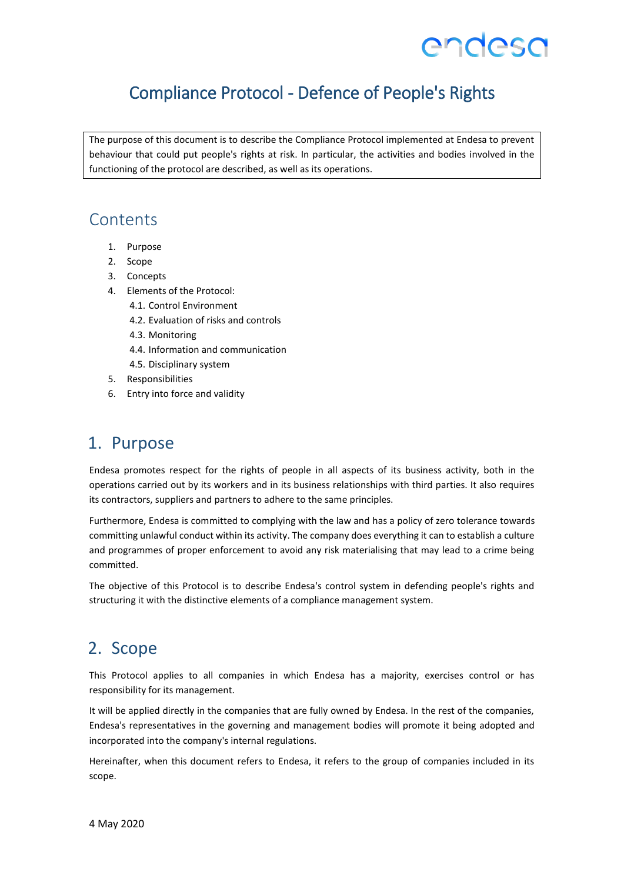## Compliance Protocol - Defence of People's Rights

The purpose of this document is to describe the Compliance Protocol implemented at Endesa to prevent behaviour that could put people's rights at risk. In particular, the activities and bodies involved in the functioning of the protocol are described, as well as its operations.

### **Contents**

- 1. Purpose
- 2. Scope
- 3. Concepts
- 4. Elements of the Protocol:
	- 4.1. Control Environment
	- 4.2. Evaluation of risks and controls
	- 4.3. Monitoring
	- 4.4. Information and communication
	- 4.5. Disciplinary system
- 5. Responsibilities
- 6. Entry into force and validity

## 1. Purpose

Endesa promotes respect for the rights of people in all aspects of its business activity, both in the operations carried out by its workers and in its business relationships with third parties. It also requires its contractors, suppliers and partners to adhere to the same principles.

Furthermore, Endesa is committed to complying with the law and has a policy of zero tolerance towards committing unlawful conduct within its activity. The company does everything it can to establish a culture and programmes of proper enforcement to avoid any risk materialising that may lead to a crime being committed.

The objective of this Protocol is to describe Endesa's control system in defending people's rights and structuring it with the distinctive elements of a compliance management system.

## 2. Scope

This Protocol applies to all companies in which Endesa has a majority, exercises control or has responsibility for its management.

It will be applied directly in the companies that are fully owned by Endesa. In the rest of the companies, Endesa's representatives in the governing and management bodies will promote it being adopted and incorporated into the company's internal regulations.

Hereinafter, when this document refers to Endesa, it refers to the group of companies included in its scope.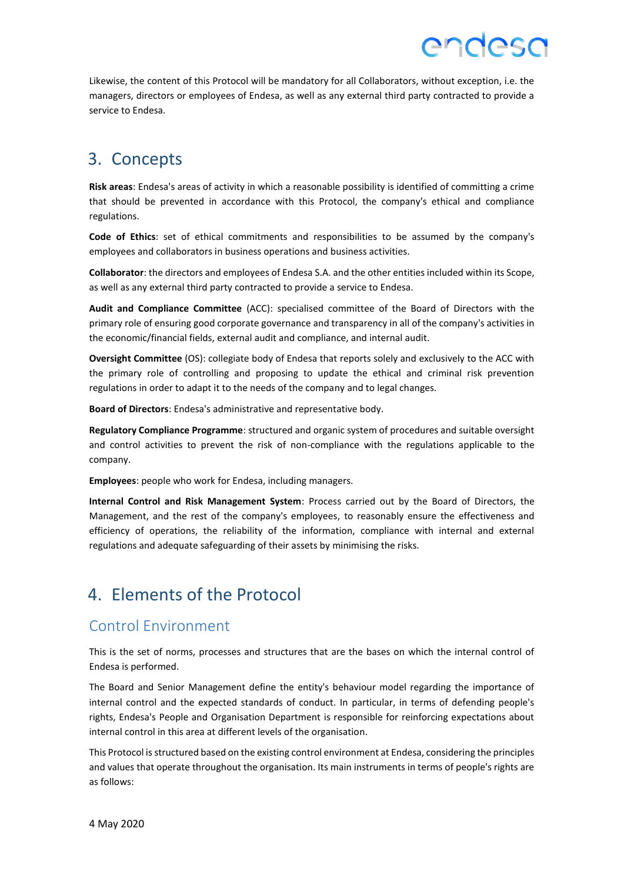Likewise, the content of this Protocol will be mandatory for all Collaborators, without exception, i.e. the managers, directors or employees of Endesa, as well as any external third party contracted to provide a service to Endesa.

endesa

## 3. Concepts

**Risk areas**: Endesa's areas of activity in which a reasonable possibility is identified of committing a crime that should be prevented in accordance with this Protocol, the company's ethical and compliance regulations.

**Code of Ethics**: set of ethical commitments and responsibilities to be assumed by the company's employees and collaborators in business operations and business activities.

**Collaborator**: the directors and employees of Endesa S.A. and the other entities included within its Scope, as well as any external third party contracted to provide a service to Endesa.

**Audit and Compliance Committee** (ACC): specialised committee of the Board of Directors with the primary role of ensuring good corporate governance and transparency in all of the company's activities in the economic/financial fields, external audit and compliance, and internal audit.

**Oversight Committee** (OS): collegiate body of Endesa that reports solely and exclusively to the ACC with the primary role of controlling and proposing to update the ethical and criminal risk prevention regulations in order to adapt it to the needs of the company and to legal changes.

**Board of Directors**: Endesa's administrative and representative body.

**Regulatory Compliance Programme**: structured and organic system of procedures and suitable oversight and control activities to prevent the risk of non-compliance with the regulations applicable to the company.

**Employees**: people who work for Endesa, including managers.

**Internal Control and Risk Management System**: Process carried out by the Board of Directors, the Management, and the rest of the company's employees, to reasonably ensure the effectiveness and efficiency of operations, the reliability of the information, compliance with internal and external regulations and adequate safeguarding of their assets by minimising the risks.

## 4. Elements of the Protocol

### Control Environment

This is the set of norms, processes and structures that are the bases on which the internal control of Endesa is performed.

The Board and Senior Management define the entity's behaviour model regarding the importance of internal control and the expected standards of conduct. In particular, in terms of defending people's rights, Endesa's People and Organisation Department is responsible for reinforcing expectations about internal control in this area at different levels of the organisation.

This Protocol is structured based on the existing control environment at Endesa, considering the principles and values that operate throughout the organisation. Its main instruments in terms of people's rights are as follows: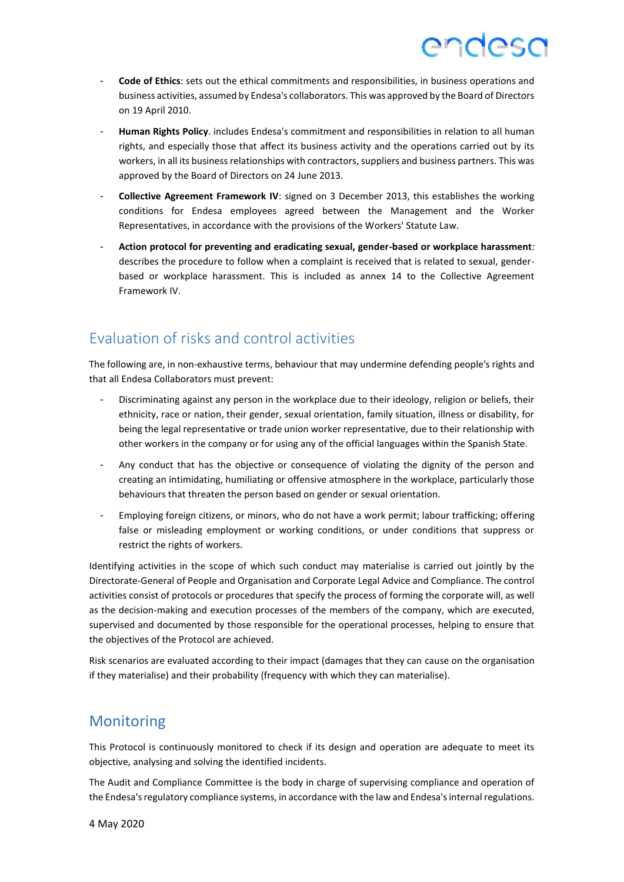- **Code of Ethics**: sets out the ethical commitments and responsibilities, in business operations and business activities, assumed by Endesa's collaborators. This was approved by the Board of Directors on 19 April 2010.
- **Human Rights Policy**. includes Endesa's commitment and responsibilities in relation to all human rights, and especially those that affect its business activity and the operations carried out by its workers, in all its business relationships with contractors, suppliers and business partners. This was approved by the Board of Directors on 24 June 2013.
- **Collective Agreement Framework IV**: signed on 3 December 2013, this establishes the working conditions for Endesa employees agreed between the Management and the Worker Representatives, in accordance with the provisions of the Workers' Statute Law.
- **Action protocol for preventing and eradicating sexual, gender-based or workplace harassment**: describes the procedure to follow when a complaint is received that is related to sexual, genderbased or workplace harassment. This is included as annex 14 to the Collective Agreement Framework IV.

## Evaluation of risks and control activities

The following are, in non-exhaustive terms, behaviour that may undermine defending people's rights and that all Endesa Collaborators must prevent:

- Discriminating against any person in the workplace due to their ideology, religion or beliefs, their ethnicity, race or nation, their gender, sexual orientation, family situation, illness or disability, for being the legal representative or trade union worker representative, due to their relationship with other workers in the company or for using any of the official languages within the Spanish State.
- Any conduct that has the objective or consequence of violating the dignity of the person and creating an intimidating, humiliating or offensive atmosphere in the workplace, particularly those behaviours that threaten the person based on gender or sexual orientation.
- Employing foreign citizens, or minors, who do not have a work permit; labour trafficking; offering false or misleading employment or working conditions, or under conditions that suppress or restrict the rights of workers.

Identifying activities in the scope of which such conduct may materialise is carried out jointly by the Directorate-General of People and Organisation and Corporate Legal Advice and Compliance. The control activities consist of protocols or procedures that specify the process of forming the corporate will, as well as the decision-making and execution processes of the members of the company, which are executed, supervised and documented by those responsible for the operational processes, helping to ensure that the objectives of the Protocol are achieved.

Risk scenarios are evaluated according to their impact (damages that they can cause on the organisation if they materialise) and their probability (frequency with which they can materialise).

### **Monitoring**

This Protocol is continuously monitored to check if its design and operation are adequate to meet its objective, analysing and solving the identified incidents.

The Audit and Compliance Committee is the body in charge of supervising compliance and operation of the Endesa's regulatory compliance systems, in accordance with the law and Endesa's internal regulations.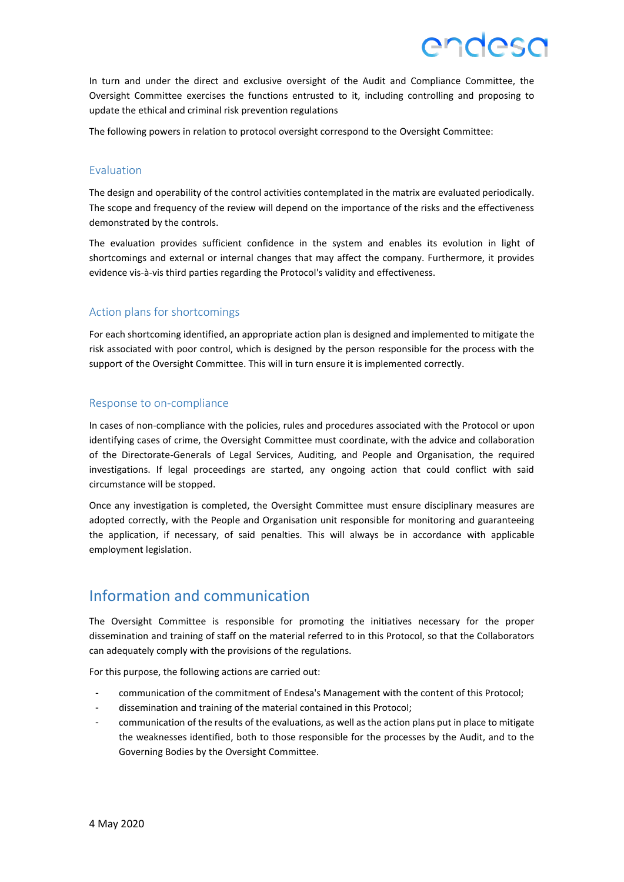In turn and under the direct and exclusive oversight of the Audit and Compliance Committee, the Oversight Committee exercises the functions entrusted to it, including controlling and proposing to update the ethical and criminal risk prevention regulations

The following powers in relation to protocol oversight correspond to the Oversight Committee:

#### Evaluation

The design and operability of the control activities contemplated in the matrix are evaluated periodically. The scope and frequency of the review will depend on the importance of the risks and the effectiveness demonstrated by the controls.

The evaluation provides sufficient confidence in the system and enables its evolution in light of shortcomings and external or internal changes that may affect the company. Furthermore, it provides evidence vis-à-vis third parties regarding the Protocol's validity and effectiveness.

#### Action plans for shortcomings

For each shortcoming identified, an appropriate action plan is designed and implemented to mitigate the risk associated with poor control, which is designed by the person responsible for the process with the support of the Oversight Committee. This will in turn ensure it is implemented correctly.

#### Response to on-compliance

In cases of non-compliance with the policies, rules and procedures associated with the Protocol or upon identifying cases of crime, the Oversight Committee must coordinate, with the advice and collaboration of the Directorate-Generals of Legal Services, Auditing, and People and Organisation, the required investigations. If legal proceedings are started, any ongoing action that could conflict with said circumstance will be stopped.

Once any investigation is completed, the Oversight Committee must ensure disciplinary measures are adopted correctly, with the People and Organisation unit responsible for monitoring and guaranteeing the application, if necessary, of said penalties. This will always be in accordance with applicable employment legislation.

### Information and communication

The Oversight Committee is responsible for promoting the initiatives necessary for the proper dissemination and training of staff on the material referred to in this Protocol, so that the Collaborators can adequately comply with the provisions of the regulations.

For this purpose, the following actions are carried out:

- communication of the commitment of Endesa's Management with the content of this Protocol;
- dissemination and training of the material contained in this Protocol;
- communication of the results of the evaluations, as well as the action plans put in place to mitigate the weaknesses identified, both to those responsible for the processes by the Audit, and to the Governing Bodies by the Oversight Committee.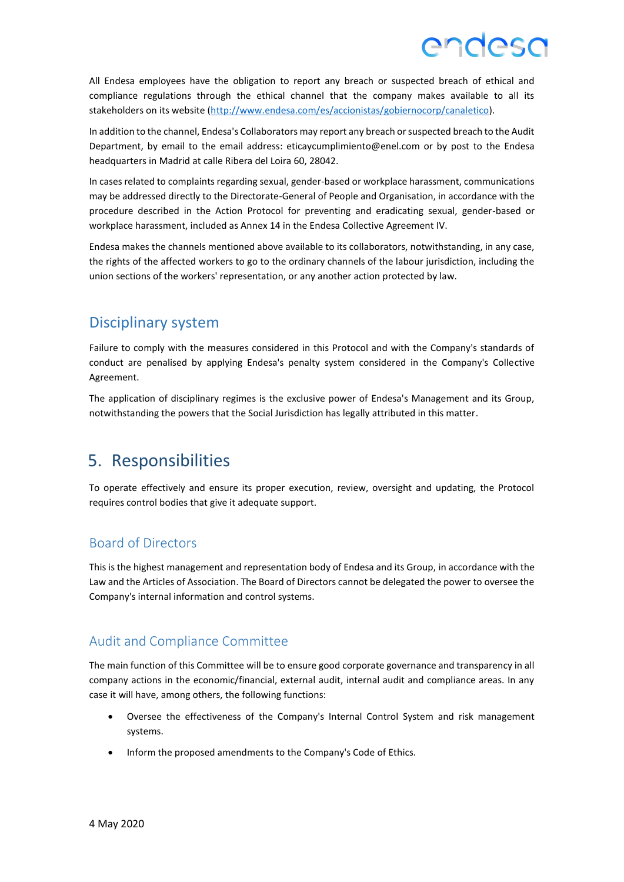All Endesa employees have the obligation to report any breach or suspected breach of ethical and compliance regulations through the ethical channel that the company makes available to all its stakeholders on its website [\(http://www.endesa.com/es/accionistas/gobiernocorp/canaletico\)](http://www.endesa.com/es/accionistas/gobiernocorp/canaletico).

In addition to the channel, Endesa's Collaborators may report any breach or suspected breach to the Audit Department, by email to the email address: eticaycumplimiento@enel.com or by post to the Endesa headquarters in Madrid at calle Ribera del Loira 60, 28042.

In cases related to complaints regarding sexual, gender-based or workplace harassment, communications may be addressed directly to the Directorate-General of People and Organisation, in accordance with the procedure described in the Action Protocol for preventing and eradicating sexual, gender-based or workplace harassment, included as Annex 14 in the Endesa Collective Agreement IV.

Endesa makes the channels mentioned above available to its collaborators, notwithstanding, in any case, the rights of the affected workers to go to the ordinary channels of the labour jurisdiction, including the union sections of the workers' representation, or any another action protected by law.

### Disciplinary system

Failure to comply with the measures considered in this Protocol and with the Company's standards of conduct are penalised by applying Endesa's penalty system considered in the Company's Collective Agreement.

The application of disciplinary regimes is the exclusive power of Endesa's Management and its Group, notwithstanding the powers that the Social Jurisdiction has legally attributed in this matter.

## 5. Responsibilities

To operate effectively and ensure its proper execution, review, oversight and updating, the Protocol requires control bodies that give it adequate support.

### Board of Directors

This is the highest management and representation body of Endesa and its Group, in accordance with the Law and the Articles of Association. The Board of Directors cannot be delegated the power to oversee the Company's internal information and control systems.

### Audit and Compliance Committee

The main function of this Committee will be to ensure good corporate governance and transparency in all company actions in the economic/financial, external audit, internal audit and compliance areas. In any case it will have, among others, the following functions:

- Oversee the effectiveness of the Company's Internal Control System and risk management systems.
- Inform the proposed amendments to the Company's Code of Ethics.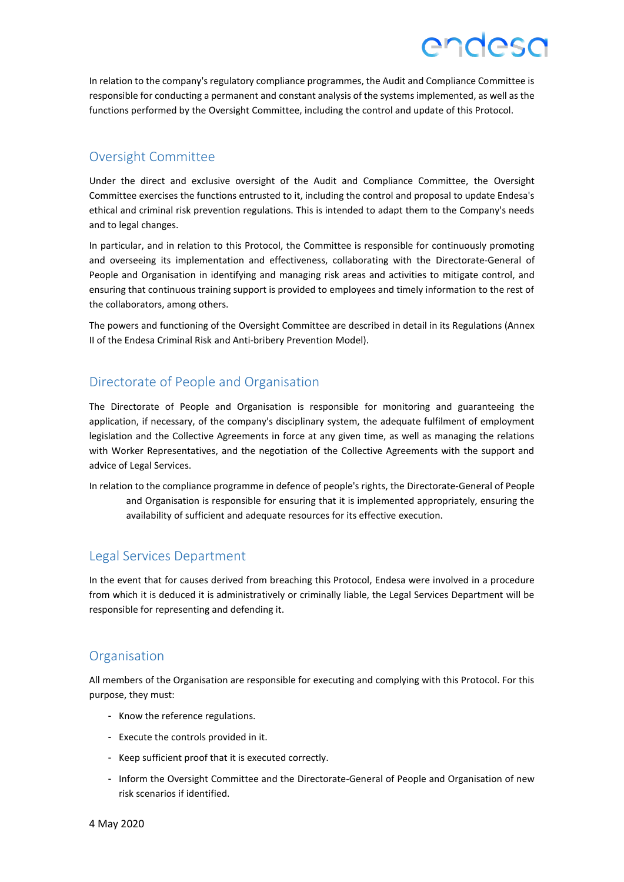In relation to the company's regulatory compliance programmes, the Audit and Compliance Committee is responsible for conducting a permanent and constant analysis of the systems implemented, as well as the functions performed by the Oversight Committee, including the control and update of this Protocol.

ANNASN

#### Oversight Committee

Under the direct and exclusive oversight of the Audit and Compliance Committee, the Oversight Committee exercises the functions entrusted to it, including the control and proposal to update Endesa's ethical and criminal risk prevention regulations. This is intended to adapt them to the Company's needs and to legal changes.

In particular, and in relation to this Protocol, the Committee is responsible for continuously promoting and overseeing its implementation and effectiveness, collaborating with the Directorate-General of People and Organisation in identifying and managing risk areas and activities to mitigate control, and ensuring that continuous training support is provided to employees and timely information to the rest of the collaborators, among others.

The powers and functioning of the Oversight Committee are described in detail in its Regulations (Annex II of the Endesa Criminal Risk and Anti-bribery Prevention Model).

#### Directorate of People and Organisation

The Directorate of People and Organisation is responsible for monitoring and guaranteeing the application, if necessary, of the company's disciplinary system, the adequate fulfilment of employment legislation and the Collective Agreements in force at any given time, as well as managing the relations with Worker Representatives, and the negotiation of the Collective Agreements with the support and advice of Legal Services.

In relation to the compliance programme in defence of people's rights, the Directorate-General of People and Organisation is responsible for ensuring that it is implemented appropriately, ensuring the availability of sufficient and adequate resources for its effective execution.

#### Legal Services Department

In the event that for causes derived from breaching this Protocol, Endesa were involved in a procedure from which it is deduced it is administratively or criminally liable, the Legal Services Department will be responsible for representing and defending it.

#### **Organisation**

All members of the Organisation are responsible for executing and complying with this Protocol. For this purpose, they must:

- Know the reference regulations.
- Execute the controls provided in it.
- Keep sufficient proof that it is executed correctly.
- Inform the Oversight Committee and the Directorate-General of People and Organisation of new risk scenarios if identified.